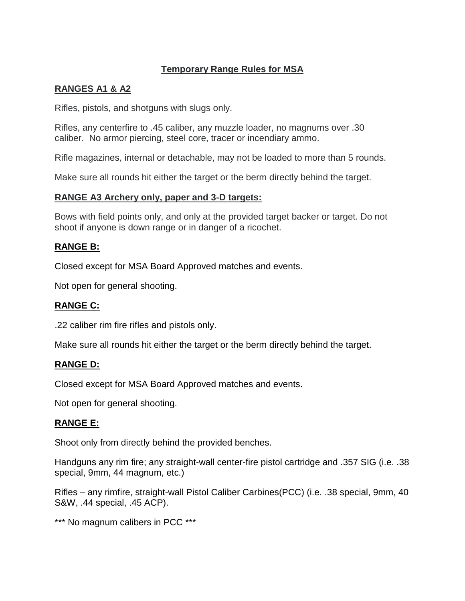# **Temporary Range Rules for MSA**

## **RANGES A1 & A2**

Rifles, pistols, and shotguns with slugs only.

Rifles, any centerfire to .45 caliber, any muzzle loader, no magnums over .30 caliber. No armor piercing, steel core, tracer or incendiary ammo.

Rifle magazines, internal or detachable, may not be loaded to more than 5 rounds.

Make sure all rounds hit either the target or the berm directly behind the target.

## **RANGE A3 Archery only, paper and 3**‐**D targets:**

Bows with field points only, and only at the provided target backer or target. Do not shoot if anyone is down range or in danger of a ricochet.

#### **RANGE B:**

Closed except for MSA Board Approved matches and events.

Not open for general shooting.

## **RANGE C:**

.22 caliber rim fire rifles and pistols only.

Make sure all rounds hit either the target or the berm directly behind the target.

## **RANGE D:**

Closed except for MSA Board Approved matches and events.

Not open for general shooting.

## **RANGE E:**

Shoot only from directly behind the provided benches.

Handguns any rim fire; any straight-wall center-fire pistol cartridge and .357 SIG (i.e. .38 special, 9mm, 44 magnum, etc.)

Rifles – any rimfire, straight-wall Pistol Caliber Carbines(PCC) (i.e. .38 special, 9mm, 40 S&W, .44 special, .45 ACP).

\*\*\* No magnum calibers in PCC \*\*\*